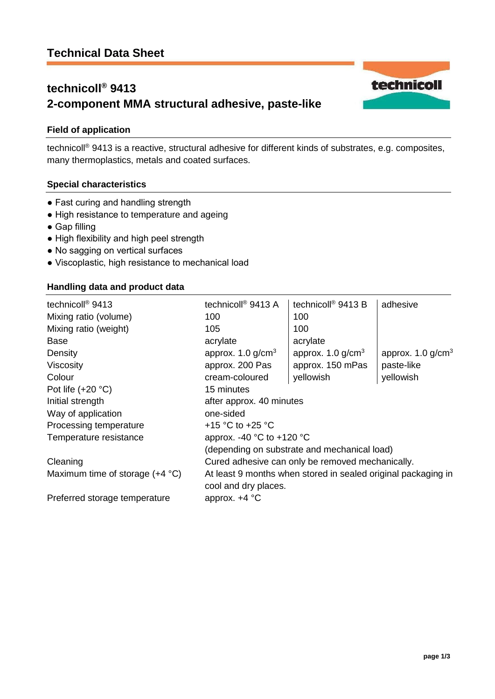# **technicoll® 9413 2-component MMA structural adhesive, paste-like**

# **Field of application**

technicoll® 9413 is a reactive, structural adhesive for different kinds of substrates, e.g. composites, many thermoplastics, metals and coated surfaces.

## **Special characteristics**

- Fast curing and handling strength
- High resistance to temperature and ageing
- Gap filling
- High flexibility and high peel strength
- No sagging on vertical surfaces
- Viscoplastic, high resistance to mechanical load

### **Handling data and product data**

| technicoll <sup>®</sup> 9413             | technicoll <sup>®</sup> 9413 A                                | technicoll <sup>®</sup> 9413 B  | adhesive                        |
|------------------------------------------|---------------------------------------------------------------|---------------------------------|---------------------------------|
| Mixing ratio (volume)                    | 100                                                           | 100                             |                                 |
| Mixing ratio (weight)                    | 105                                                           | 100                             |                                 |
| <b>Base</b>                              | acrylate                                                      | acrylate                        |                                 |
| Density                                  | approx. $1.0$ g/cm <sup>3</sup>                               | approx. $1.0$ g/cm <sup>3</sup> | approx. $1.0$ g/cm <sup>3</sup> |
| <b>Viscosity</b>                         | approx. 200 Pas                                               | approx. 150 mPas                | paste-like                      |
| Colour                                   | cream-coloured                                                | yellowish                       | yellowish                       |
| Pot life $(+20 °C)$                      | 15 minutes                                                    |                                 |                                 |
| Initial strength                         | after approx. 40 minutes                                      |                                 |                                 |
| Way of application                       | one-sided                                                     |                                 |                                 |
| Processing temperature                   | +15 °C to +25 °C                                              |                                 |                                 |
| Temperature resistance                   | approx. -40 $^{\circ}$ C to +120 $^{\circ}$ C                 |                                 |                                 |
|                                          | (depending on substrate and mechanical load)                  |                                 |                                 |
| Cleaning                                 | Cured adhesive can only be removed mechanically.              |                                 |                                 |
| Maximum time of storage $(+4 \degree C)$ | At least 9 months when stored in sealed original packaging in |                                 |                                 |
|                                          | cool and dry places.                                          |                                 |                                 |
| Preferred storage temperature            | approx. $+4$ °C                                               |                                 |                                 |

technicoll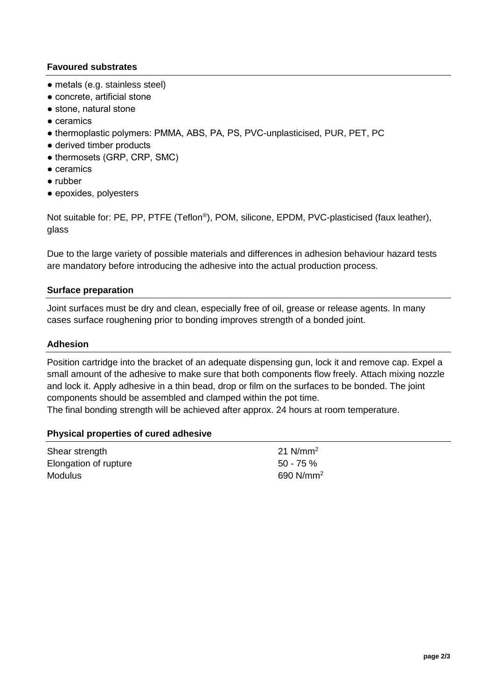## **Favoured substrates**

- metals (e.g. stainless steel)
- concrete, artificial stone
- stone, natural stone
- ceramics
- thermoplastic polymers: PMMA, ABS, PA, PS, PVC-unplasticised, PUR, PET, PC
- derived timber products
- thermosets (GRP, CRP, SMC)
- ceramics
- rubber
- epoxides, polyesters

Not suitable for: PE, PP, PTFE (Teflon®), POM, silicone, EPDM, PVC-plasticised (faux leather), glass

Due to the large variety of possible materials and differences in adhesion behaviour hazard tests are mandatory before introducing the adhesive into the actual production process.

#### **Surface preparation**

Joint surfaces must be dry and clean, especially free of oil, grease or release agents. In many cases surface roughening prior to bonding improves strength of a bonded joint.

### **Adhesion**

Position cartridge into the bracket of an adequate dispensing gun, lock it and remove cap. Expel a small amount of the adhesive to make sure that both components flow freely. Attach mixing nozzle and lock it. Apply adhesive in a thin bead, drop or film on the surfaces to be bonded. The joint components should be assembled and clamped within the pot time.

The final bonding strength will be achieved after approx. 24 hours at room temperature.

#### **Physical properties of cured adhesive**

| Shear strength        | 21 $N/mm^2$  |
|-----------------------|--------------|
| Elongation of rupture | $50 - 75 \%$ |
| <b>Modulus</b>        | 690 $N/mm^2$ |